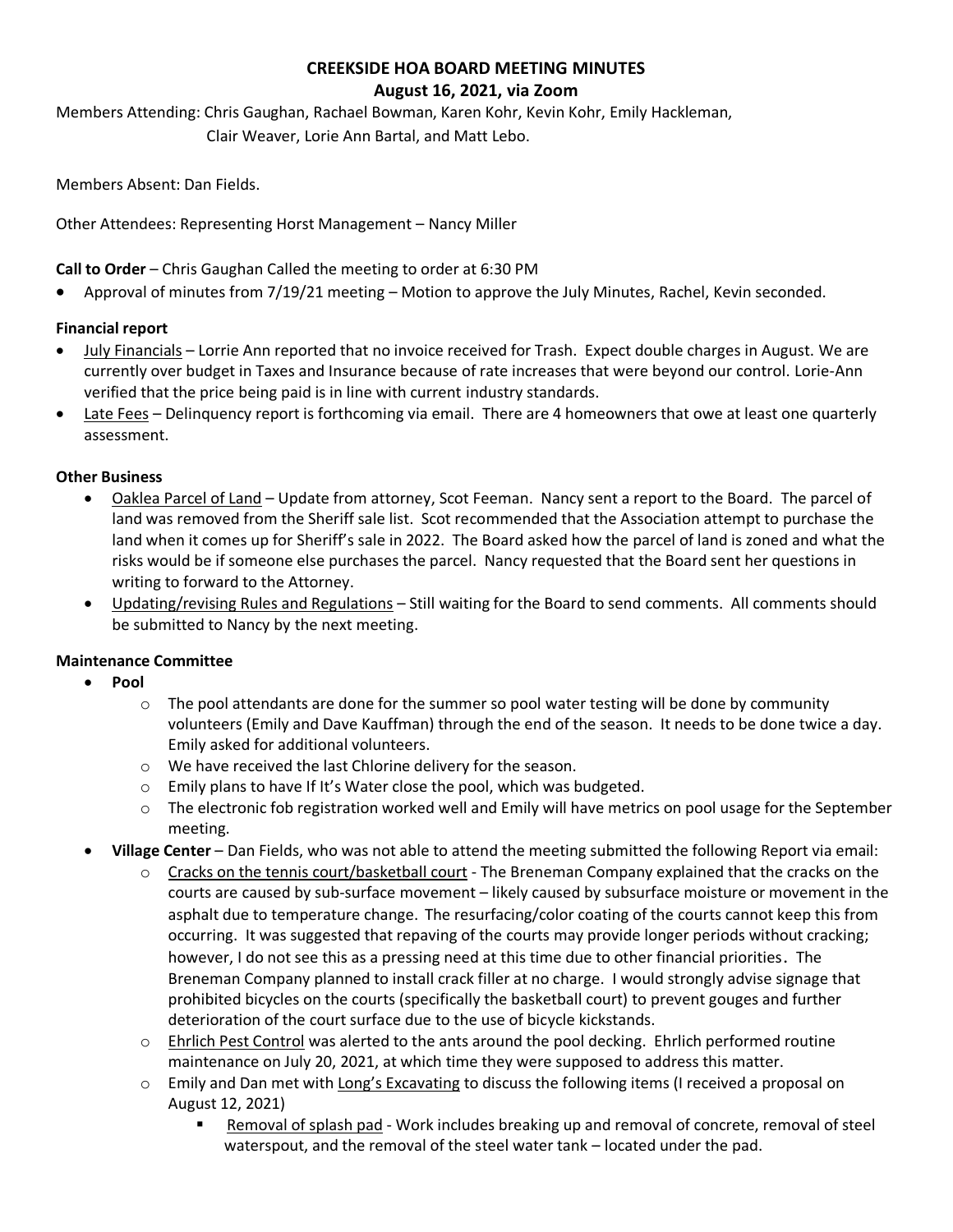# **CREEKSIDE HOA BOARD MEETING MINUTES**

#### **August 16, 2021, via Zoom**

Members Attending: Chris Gaughan, Rachael Bowman, Karen Kohr, Kevin Kohr, Emily Hackleman, Clair Weaver, Lorie Ann Bartal, and Matt Lebo.

Members Absent: Dan Fields.

Other Attendees: Representing Horst Management – Nancy Miller

**Call to Order** – Chris Gaughan Called the meeting to order at 6:30 PM

• Approval of minutes from 7/19/21 meeting – Motion to approve the July Minutes, Rachel, Kevin seconded.

## **Financial report**

- July Financials Lorrie Ann reported that no invoice received for Trash. Expect double charges in August. We are currently over budget in Taxes and Insurance because of rate increases that were beyond our control. Lorie-Ann verified that the price being paid is in line with current industry standards.
- Late Fees Delinquency report is forthcoming via email. There are 4 homeowners that owe at least one quarterly assessment.

## **Other Business**

- Oaklea Parcel of Land Update from attorney, Scot Feeman. Nancy sent a report to the Board. The parcel of land was removed from the Sheriff sale list. Scot recommended that the Association attempt to purchase the land when it comes up for Sheriff's sale in 2022. The Board asked how the parcel of land is zoned and what the risks would be if someone else purchases the parcel. Nancy requested that the Board sent her questions in writing to forward to the Attorney.
- Updating/revising Rules and Regulations Still waiting for the Board to send comments. All comments should be submitted to Nancy by the next meeting.

## **Maintenance Committee**

- **Pool**
	- $\circ$  The pool attendants are done for the summer so pool water testing will be done by community volunteers (Emily and Dave Kauffman) through the end of the season. It needs to be done twice a day. Emily asked for additional volunteers.
	- o We have received the last Chlorine delivery for the season.
	- o Emily plans to have If It's Water close the pool, which was budgeted.
	- $\circ$  The electronic fob registration worked well and Emily will have metrics on pool usage for the September meeting.
- **Village Center** Dan Fields, who was not able to attend the meeting submitted the following Report via email:
	- o Cracks on the tennis court/basketball court The Breneman Company explained that the cracks on the courts are caused by sub-surface movement – likely caused by subsurface moisture or movement in the asphalt due to temperature change. The resurfacing/color coating of the courts cannot keep this from occurring. It was suggested that repaving of the courts may provide longer periods without cracking; however, I do not see this as a pressing need at this time due to other financial priorities. The Breneman Company planned to install crack filler at no charge. I would strongly advise signage that prohibited bicycles on the courts (specifically the basketball court) to prevent gouges and further deterioration of the court surface due to the use of bicycle kickstands.
	- $\circ$  Ehrlich Pest Control was alerted to the ants around the pool decking. Ehrlich performed routine maintenance on July 20, 2021, at which time they were supposed to address this matter.
	- $\circ$  Emily and Dan met with Long's Excavating to discuss the following items (I received a proposal on August 12, 2021)
		- Removal of splash pad Work includes breaking up and removal of concrete, removal of steel waterspout, and the removal of the steel water tank – located under the pad.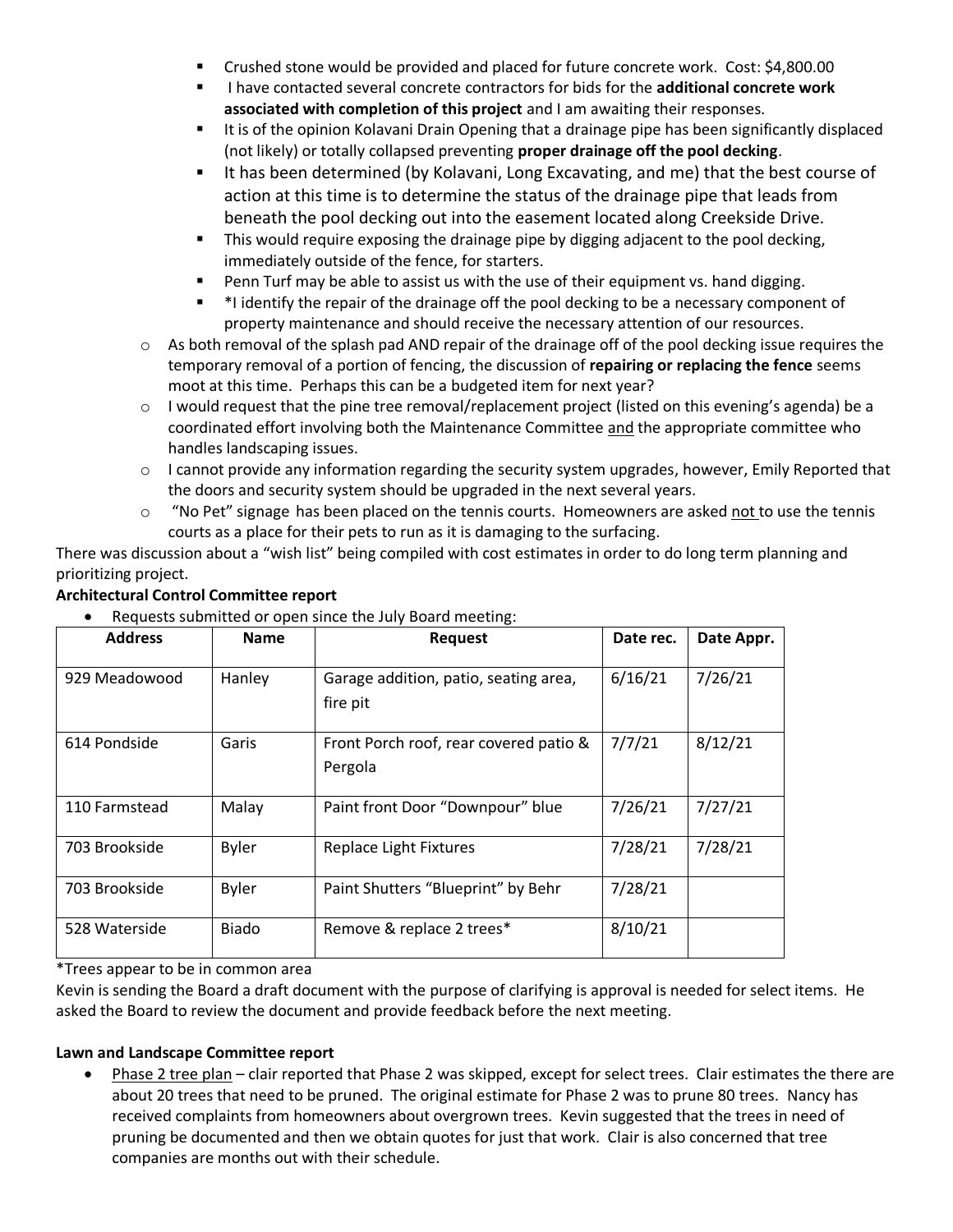- Crushed stone would be provided and placed for future concrete work. Cost: \$4,800.00
- I have contacted several concrete contractors for bids for the **additional concrete work associated with completion of this project** and I am awaiting their responses.
- It is of the opinion Kolavani Drain Opening that a drainage pipe has been significantly displaced (not likely) or totally collapsed preventing **proper drainage off the pool decking**.
- **■** It has been determined (by Kolavani, Long Excavating, and me) that the best course of action at this time is to determine the status of the drainage pipe that leads from beneath the pool decking out into the easement located along Creekside Drive.
- **•** This would require exposing the drainage pipe by digging adjacent to the pool decking, immediately outside of the fence, for starters.
- Penn Turf may be able to assist us with the use of their equipment vs. hand digging.
- \*I identify the repair of the drainage off the pool decking to be a necessary component of property maintenance and should receive the necessary attention of our resources.
- $\circ$  As both removal of the splash pad AND repair of the drainage off of the pool decking issue requires the temporary removal of a portion of fencing, the discussion of **repairing or replacing the fence** seems moot at this time. Perhaps this can be a budgeted item for next year?
- o I would request that the pine tree removal/replacement project (listed on this evening's agenda) be a coordinated effort involving both the Maintenance Committee and the appropriate committee who handles landscaping issues.
- $\circ$  I cannot provide any information regarding the security system upgrades, however, Emily Reported that the doors and security system should be upgraded in the next several years.
- $\circ$  "No Pet" signage has been placed on the tennis courts. Homeowners are asked not to use the tennis courts as a place for their pets to run as it is damaging to the surfacing.

There was discussion about a "wish list" being compiled with cost estimates in order to do long term planning and prioritizing project.

| <b>Address</b> | <b>Name</b>  | <b>Request</b>                                    | Date rec. | Date Appr. |
|----------------|--------------|---------------------------------------------------|-----------|------------|
| 929 Meadowood  | Hanley       | Garage addition, patio, seating area,<br>fire pit | 6/16/21   | 7/26/21    |
| 614 Pondside   | Garis        | Front Porch roof, rear covered patio &<br>Pergola | 7/7/21    | 8/12/21    |
| 110 Farmstead  | Malay        | Paint front Door "Downpour" blue                  | 7/26/21   | 7/27/21    |
| 703 Brookside  | <b>Byler</b> | Replace Light Fixtures                            | 7/28/21   | 7/28/21    |
| 703 Brookside  | <b>Byler</b> | Paint Shutters "Blueprint" by Behr                | 7/28/21   |            |
| 528 Waterside  | <b>Biado</b> | Remove & replace 2 trees*                         | 8/10/21   |            |

## **Architectural Control Committee report**

• Requests submitted or open since the July Board meeting:

\*Trees appear to be in common area

Kevin is sending the Board a draft document with the purpose of clarifying is approval is needed for select items. He asked the Board to review the document and provide feedback before the next meeting.

## **Lawn and Landscape Committee report**

• Phase 2 tree plan – clair reported that Phase 2 was skipped, except for select trees. Clair estimates the there are about 20 trees that need to be pruned. The original estimate for Phase 2 was to prune 80 trees. Nancy has received complaints from homeowners about overgrown trees. Kevin suggested that the trees in need of pruning be documented and then we obtain quotes for just that work. Clair is also concerned that tree companies are months out with their schedule.